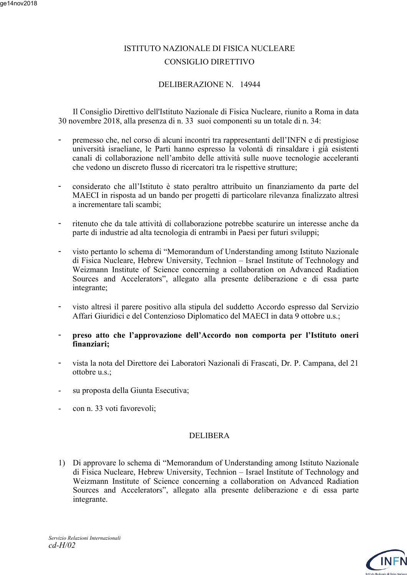#### ge14nov2018

# ISTITUTO NAZIONALE DI FISICA NUCLEARE CONSIGLIO DIRETTIVO

#### DELIBERAZIONE N. 14944

 Il Consiglio Direttivo dell'Istituto Nazionale di Fisica Nucleare, riunito a Roma in data 30 novembre 2018, alla presenza di n. 33 suoi componenti su un totale di n. 34:

- premesso che, nel corso di alcuni incontri tra rappresentanti dell'INFN e di prestigiose università israeliane, le Parti hanno espresso la volontà di rinsaldare i già esistenti canali di collaborazione nell'ambito delle attività sulle nuove tecnologie acceleranti che vedono un discreto flusso di ricercatori tra le rispettive strutture;
- considerato che all'Istituto è stato peraltro attribuito un finanziamento da parte del MAECI in risposta ad un bando per progetti di particolare rilevanza finalizzato altresì a incrementare tali scambi;
- ritenuto che da tale attività di collaborazione potrebbe scaturire un interesse anche da parte di industrie ad alta tecnologia di entrambi in Paesi per futuri sviluppi;
- visto pertanto lo schema di "Memorandum of Understanding among Istituto Nazionale di Fisica Nucleare, Hebrew University, Technion – Israel Institute of Technology and Weizmann Institute of Science concerning a collaboration on Advanced Radiation Sources and Accelerators", allegato alla presente deliberazione e di essa parte integrante;
- visto altresì il parere positivo alla stipula del suddetto Accordo espresso dal Servizio Affari Giuridici e del Contenzioso Diplomatico del MAECI in data 9 ottobre u.s.;
- **preso atto che l'approvazione dell'Accordo non comporta per l'Istituto oneri finanziari;**
- vista la nota del Direttore dei Laboratori Nazionali di Frascati, Dr. P. Campana, del 21 ottobre u.s.;
- su proposta della Giunta Esecutiva;
- con n. 33 voti favorevoli;

#### DELIBERA

1) Di approvare lo schema di "Memorandum of Understanding among Istituto Nazionale di Fisica Nucleare, Hebrew University, Technion – Israel Institute of Technology and Weizmann Institute of Science concerning a collaboration on Advanced Radiation Sources and Accelerators", allegato alla presente deliberazione e di essa parte integrante.

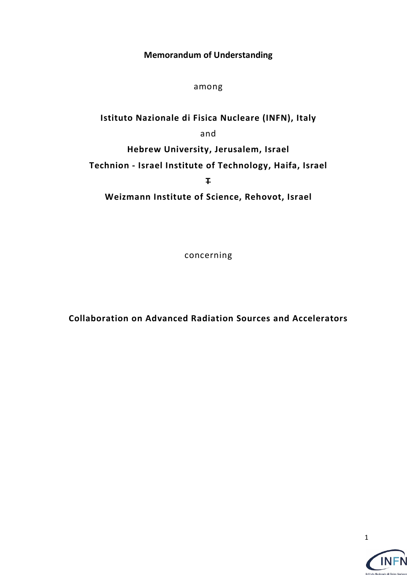**Memorandum of Understanding**

among

**Istituto Nazionale di Fisica Nucleare (INFN), Italy** and **Hebrew University, Jerusalem, Israel Technion - Israel Institute of Technology, Haifa, Israel T Weizmann Institute of Science, Rehovot, Israel**

concerning

**Collaboration on Advanced Radiation Sources and Accelerators**



**INFN** 

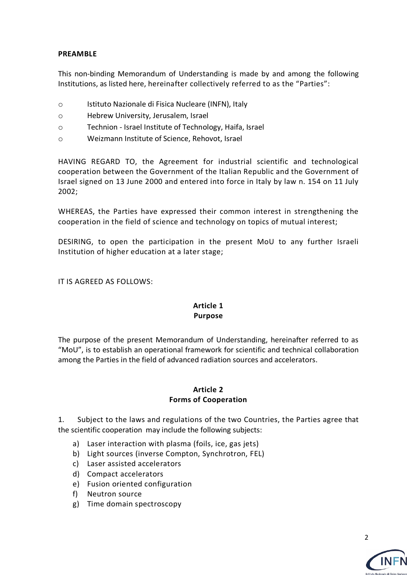### **PREAMBLE**

This non-binding Memorandum of Understanding is made by and among the following Institutions, as listed here, hereinafter collectively referred to as the "Parties":

- o Istituto Nazionale di Fisica Nucleare (INFN), Italy
- o Hebrew University, Jerusalem, Israel
- o Technion Israel Institute of Technology, Haifa, Israel
- o Weizmann Institute of Science, Rehovot, Israel

HAVING REGARD TO, the Agreement for industrial scientific and technological cooperation between the Government of the Italian Republic and the Government of Israel signed on 13 June 2000 and entered into force in Italy by law n. 154 on 11 July 2002;

WHEREAS, the Parties have expressed their common interest in strengthening the cooperation in the field of science and technology on topics of mutual interest;

DESIRING, to open the participation in the present MoU to any further Israeli Institution of higher education at a later stage;

IT IS AGREED AS FOLLOWS:

# **Article 1 Purpose**

The purpose of the present Memorandum of Understanding, hereinafter referred to as "MoU", is to establish an operational framework for scientific and technical collaboration among the Parties in the field of advanced radiation sources and accelerators.

#### **Article 2 Forms of Cooperation**

1. Subject to the laws and regulations of the two Countries, the Parties agree that the scientific cooperation may include the following subjects:

- a) Laser interaction with plasma (foils, ice, gas jets)
- b) Light sources (inverse Compton, Synchrotron, FEL)
- c) Laser assisted accelerators
- d) Compact accelerators
- e) Fusion oriented configuration
- f) Neutron source
- g) Time domain spectroscopy

 $\mathcal{L}$ 

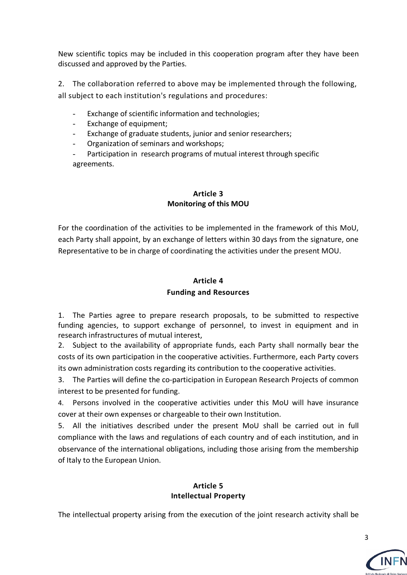New scientific topics may be included in this cooperation program after they have been discussed and approved by the Parties.

2. The collaboration referred to above may be implemented through the following, all subject to each institution's regulations and procedures:

- Exchange of scientific information and technologies;
- Exchange of equipment;
- Exchange of graduate students, junior and senior researchers;
- Organization of seminars and workshops;
- Participation in research programs of mutual interest through specific agreements.

# **Article 3 Monitoring of this MOU**

For the coordination of the activities to be implemented in the framework of this MoU, each Party shall appoint, by an exchange of letters within 30 days from the signature, one Representative to be in charge of coordinating the activities under the present MOU.

# **Article 4 Funding and Resources**

1. The Parties agree to prepare research proposals, to be submitted to respective funding agencies, to support exchange of personnel, to invest in equipment and in research infrastructures of mutual interest,

2. Subject to the availability of appropriate funds, each Party shall normally bear the costs of its own participation in the cooperative activities. Furthermore, each Party covers its own administration costs regarding its contribution to the cooperative activities.

3. The Parties will define the co-participation in European Research Projects of common interest to be presented for funding.

4. Persons involved in the cooperative activities under this MoU will have insurance cover at their own expenses or chargeable to their own Institution.

5. All the initiatives described under the present MoU shall be carried out in full compliance with the laws and regulations of each country and of each institution, and in observance of the international obligations, including those arising from the membership of Italy to the European Union.

#### **Article 5 Intellectual Property**

The intellectual property arising from the execution of the joint research activity shall be

3

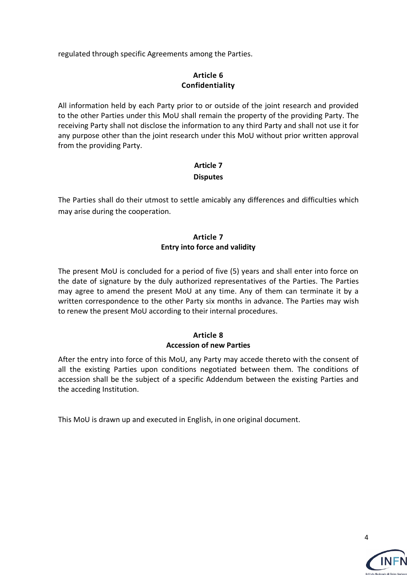regulated through specific Agreements among the Parties.

## **Article 6 Confidentiality**

All information held by each Party prior to or outside of the joint research and provided to the other Parties under this MoU shall remain the property of the providing Party. The receiving Party shall not disclose the information to any third Party and shall not use it for any purpose other than the joint research under this MoU without prior written approval from the providing Party.

## **Article 7 Disputes**

The Parties shall do their utmost to settle amicably any differences and difficulties which may arise during the cooperation.

# **Article 7 Entry into force and validity**

The present MoU is concluded for a period of five (5) years and shall enter into force on the date of signature by the duly authorized representatives of the Parties. The Parties may agree to amend the present MoU at any time. Any of them can terminate it by a written correspondence to the other Party six months in advance. The Parties may wish to renew the present MoU according to their internal procedures.

# **Article 8 Accession of new Parties**

After the entry into force of this MoU, any Party may accede thereto with the consent of all the existing Parties upon conditions negotiated between them. The conditions of accession shall be the subject of a specific Addendum between the existing Parties and the acceding Institution.

This MoU is drawn up and executed in English, in one original document.

4